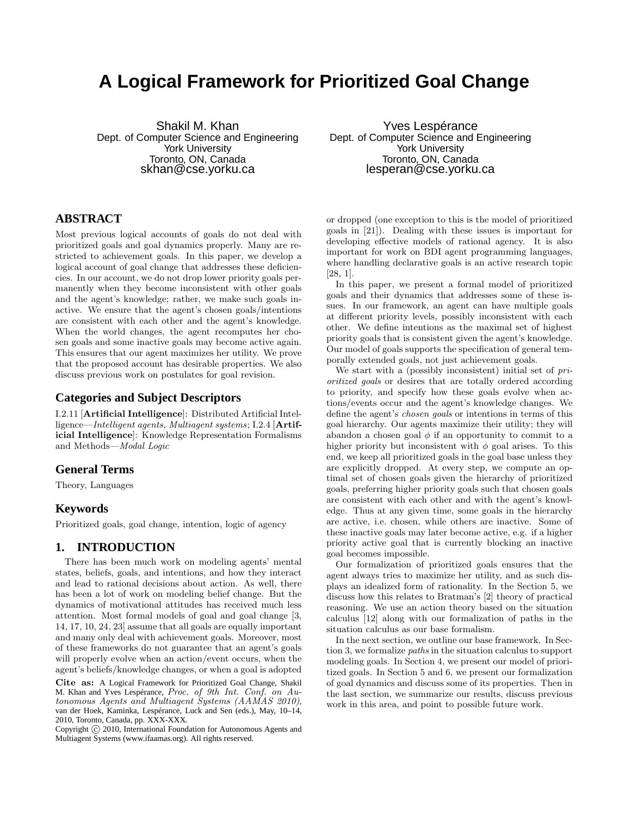# **A Logical Framework for Prioritized Goal Change**

Shakil M. Khan Dept. of Computer Science and Engineering York University Toronto, ON, Canada skhan@cse.yorku.ca

## **ABSTRACT**

Most previous logical accounts of goals do not deal with prioritized goals and goal dynamics properly. Many are restricted to achievement goals. In this paper, we develop a logical account of goal change that addresses these deficiencies. In our account, we do not drop lower priority goals permanently when they become inconsistent with other goals and the agent's knowledge; rather, we make such goals inactive. We ensure that the agent's chosen goals/intentions are consistent with each other and the agent's knowledge. When the world changes, the agent recomputes her chosen goals and some inactive goals may become active again. This ensures that our agent maximizes her utility. We prove that the proposed account has desirable properties. We also discuss previous work on postulates for goal revision.

#### **Categories and Subject Descriptors**

I.2.11 [Artificial Intelligence]: Distributed Artificial Intelligence—Intelligent agents, Multiagent systems; I.2.4 [Artificial Intelligence]: Knowledge Representation Formalisms and Methods—Modal Logic

#### **General Terms**

Theory, Languages

#### **Keywords**

Prioritized goals, goal change, intention, logic of agency

#### **1. INTRODUCTION**

There has been much work on modeling agents' mental states, beliefs, goals, and intentions, and how they interact and lead to rational decisions about action. As well, there has been a lot of work on modeling belief change. But the dynamics of motivational attitudes has received much less attention. Most formal models of goal and goal change [3, 14, 17, 10, 24, 23] assume that all goals are equally important and many only deal with achievement goals. Moreover, most of these frameworks do not guarantee that an agent's goals will properly evolve when an action/event occurs, when the agent's beliefs/knowledge changes, or when a goal is adopted

Cite as: A Logical Framework for Prioritized Goal Change, Shakil M. Khan and Yves Lespérance, Proc. of 9th Int. Conf. on Autonomous Agents and Multiagent Systems (AAMAS 2010), van der Hoek, Kaminka, Lespérance, Luck and Sen (eds.), May, 10–14, 2010, Toronto, Canada, pp. XXX-XXX.

Copyright  $\odot$  2010, International Foundation for Autonomous Agents and Multiagent Systems (www.ifaamas.org). All rights reserved.

Yves Lespérance Dept. of Computer Science and Engineering York University Toronto, ON, Canada lesperan@cse.yorku.ca

or dropped (one exception to this is the model of prioritized goals in [21]). Dealing with these issues is important for developing effective models of rational agency. It is also important for work on BDI agent programming languages, where handling declarative goals is an active research topic [28, 1].

In this paper, we present a formal model of prioritized goals and their dynamics that addresses some of these issues. In our framework, an agent can have multiple goals at different priority levels, possibly inconsistent with each other. We define intentions as the maximal set of highest priority goals that is consistent given the agent's knowledge. Our model of goals supports the specification of general temporally extended goals, not just achievement goals.

We start with a (possibly inconsistent) initial set of prioritized goals or desires that are totally ordered according to priority, and specify how these goals evolve when actions/events occur and the agent's knowledge changes. We define the agent's chosen goals or intentions in terms of this goal hierarchy. Our agents maximize their utility; they will abandon a chosen goal  $\phi$  if an opportunity to commit to a higher priority but inconsistent with  $\phi$  goal arises. To this end, we keep all prioritized goals in the goal base unless they are explicitly dropped. At every step, we compute an optimal set of chosen goals given the hierarchy of prioritized goals, preferring higher priority goals such that chosen goals are consistent with each other and with the agent's knowledge. Thus at any given time, some goals in the hierarchy are active, i.e. chosen, while others are inactive. Some of these inactive goals may later become active, e.g. if a higher priority active goal that is currently blocking an inactive goal becomes impossible.

Our formalization of prioritized goals ensures that the agent always tries to maximize her utility, and as such displays an idealized form of rationality. In the Section 5, we discuss how this relates to Bratman's [2] theory of practical reasoning. We use an action theory based on the situation calculus [12] along with our formalization of paths in the situation calculus as our base formalism.

In the next section, we outline our base framework. In Section 3, we formalize paths in the situation calculus to support modeling goals. In Section 4, we present our model of prioritized goals. In Section 5 and 6, we present our formalization of goal dynamics and discuss some of its properties. Then in the last section, we summarize our results, discuss previous work in this area, and point to possible future work.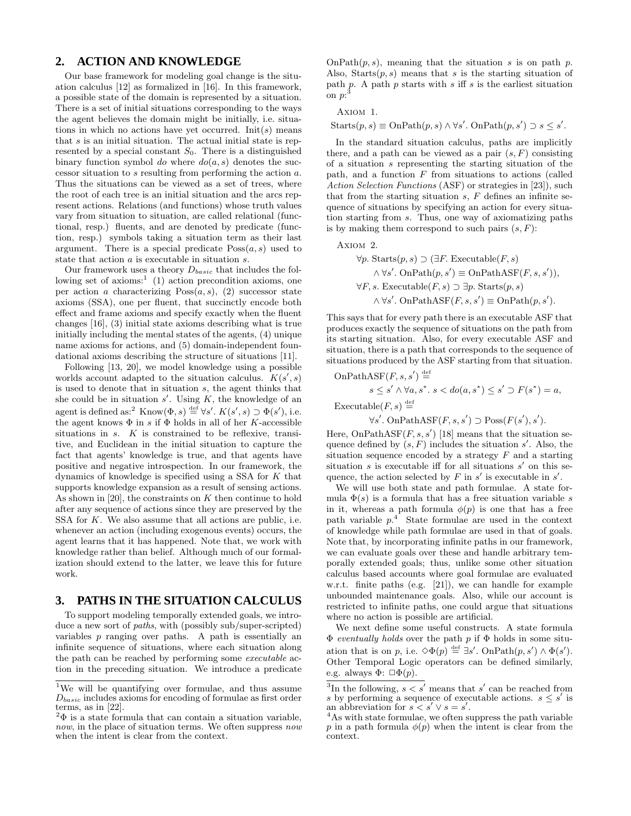#### **2. ACTION AND KNOWLEDGE**

Our base framework for modeling goal change is the situation calculus [12] as formalized in [16]. In this framework, a possible state of the domain is represented by a situation. There is a set of initial situations corresponding to the ways the agent believes the domain might be initially, i.e. situations in which no actions have yet occurred.  $Init(s)$  means that  $s$  is an initial situation. The actual initial state is represented by a special constant  $S_0$ . There is a distinguished binary function symbol do where  $do(a, s)$  denotes the successor situation to s resulting from performing the action a. Thus the situations can be viewed as a set of trees, where the root of each tree is an initial situation and the arcs represent actions. Relations (and functions) whose truth values vary from situation to situation, are called relational (functional, resp.) fluents, and are denoted by predicate (function, resp.) symbols taking a situation term as their last argument. There is a special predicate  $Poss(a, s)$  used to state that action a is executable in situation s.

Our framework uses a theory  $D_{basic}$  that includes the following set of  $axioms$ : (1) action precondition axioms, one per action a characterizing  $Poss(a, s)$ , (2) successor state axioms (SSA), one per fluent, that succinctly encode both effect and frame axioms and specify exactly when the fluent changes [16], (3) initial state axioms describing what is true initially including the mental states of the agents, (4) unique name axioms for actions, and (5) domain-independent foundational axioms describing the structure of situations [11].

Following [13, 20], we model knowledge using a possible worlds account adapted to the situation calculus.  $K(s', s)$ is used to denote that in situation s, the agent thinks that she could be in situation  $s'$ . Using  $K$ , the knowledge of an agent is defined as:<sup>2</sup> Know $(\Phi, s) \stackrel{\text{def}}{=} \forall s'. K(s', s) \supset \Phi(s')$ , i.e. the agent knows  $\Phi$  in s if  $\Phi$  holds in all of her K-accessible situations in s. K is constrained to be reflexive, transitive, and Euclidean in the initial situation to capture the fact that agents' knowledge is true, and that agents have positive and negative introspection. In our framework, the dynamics of knowledge is specified using a SSA for K that supports knowledge expansion as a result of sensing actions. As shown in  $[20]$ , the constraints on K then continue to hold after any sequence of actions since they are preserved by the SSA for K. We also assume that all actions are public, i.e. whenever an action (including exogenous events) occurs, the agent learns that it has happened. Note that, we work with knowledge rather than belief. Although much of our formalization should extend to the latter, we leave this for future work.

#### **3. PATHS IN THE SITUATION CALCULUS**

To support modeling temporally extended goals, we introduce a new sort of paths, with (possibly sub/super-scripted) variables p ranging over paths. A path is essentially an infinite sequence of situations, where each situation along the path can be reached by performing some executable action in the preceding situation. We introduce a predicate

OnPath $(p, s)$ , meaning that the situation s is on path p. Also, Starts $(p, s)$  means that s is the starting situation of path p. A path p starts with  $s$  iff  $s$  is the earliest situation  $\mathrm{on}~p\mathrm{:}^{\bar{3}}$ 

Axiom 1.

 $\text{Starts}(p, s) \equiv \text{OnPath}(p, s) \land \forall s'. \text{ OnPath}(p, s') \supset s \leq s'.$ 

In the standard situation calculus, paths are implicitly there, and a path can be viewed as a pair  $(s, F)$  consisting of a situation s representing the starting situation of the path, and a function  $F$  from situations to actions (called Action Selection Functions (ASF) or strategies in [23]), such that from the starting situation  $s$ ,  $F$  defines an infinite sequence of situations by specifying an action for every situation starting from s. Thus, one way of axiomatizing paths is by making them correspond to such pairs  $(s, F)$ :

Axiom 2.

$$
\forall p. \text{ starts}(p, s) \supset (\exists F. \text{Executeable}(F, s) \land \forall s'. \text{ OnPath}(p, s') \equiv \text{OnPathASF}(F, s, s')),
$$

$$
\forall F, s. \text{Executeable}(F, s) \supset \exists p. \text{ starts}(p, s) \land \forall s'. \text{ OnPathASF}(F, s, s') \equiv \text{OnPath}(p, s').
$$

This says that for every path there is an executable ASF that produces exactly the sequence of situations on the path from its starting situation. Also, for every executable ASF and situation, there is a path that corresponds to the sequence of situations produced by the ASF starting from that situation.

OnPathASF
$$
(F, s, s')
$$
  $\stackrel{\text{def}}{=} s \leq s' \land \forall a, s^*, s < do(a, s^*) \leq s' \supset F(s^*) = a,$   
Executeable $(F, s)$   $\stackrel{\text{def}}{=} s'$ 

 $\forall s'$ . OnPathASF $(F, s, s') \supset \text{Poss}(F(s'), s')$ .

Here, OnPathASF $(F, s, s')$  [18] means that the situation sequence defined by  $(s, F)$  includes the situation s'. Also, the situation sequence encoded by a strategy  $F$  and a starting situation  $s$  is executable iff for all situations  $s'$  on this sequence, the action selected by  $F$  in  $s'$  is executable in  $s'$ .

We will use both state and path formulae. A state formula  $\Phi(s)$  is a formula that has a free situation variable s in it, whereas a path formula  $\phi(p)$  is one that has a free path variable  $p^4$ . State formulae are used in the context of knowledge while path formulae are used in that of goals. Note that, by incorporating infinite paths in our framework, we can evaluate goals over these and handle arbitrary temporally extended goals; thus, unlike some other situation calculus based accounts where goal formulae are evaluated w.r.t. finite paths (e.g. [21]), we can handle for example unbounded maintenance goals. Also, while our account is restricted to infinite paths, one could argue that situations where no action is possible are artificial.

We next define some useful constructs. A state formula  $\Phi$  eventually holds over the path p if  $\Phi$  holds in some situation that is on p, i.e.  $\diamond \Phi(p) \stackrel{\text{def}}{=} \exists s'. \text{ OnPath}(p, s') \wedge \Phi(s').$ Other Temporal Logic operators can be defined similarly, e.g. always  $\Phi: \Box \Phi(p)$ .

<sup>&</sup>lt;sup>1</sup>We will be quantifying over formulae, and thus assume  $D_{basic}$  includes axioms for encoding of formulae as first order terms, as in [22].

 $2\Phi$  is a state formula that can contain a situation variable, now, in the place of situation terms. We often suppress now when the intent is clear from the context.

<sup>&</sup>lt;sup>3</sup>In the following,  $s < s'$  means that s' can be reached from s by performing a sequence of executable actions.  $s \leq s'$  is an abbreviation for  $s < s' \vee s = s'$ .

<sup>4</sup>As with state formulae, we often suppress the path variable p in a path formula  $\phi(p)$  when the intent is clear from the context.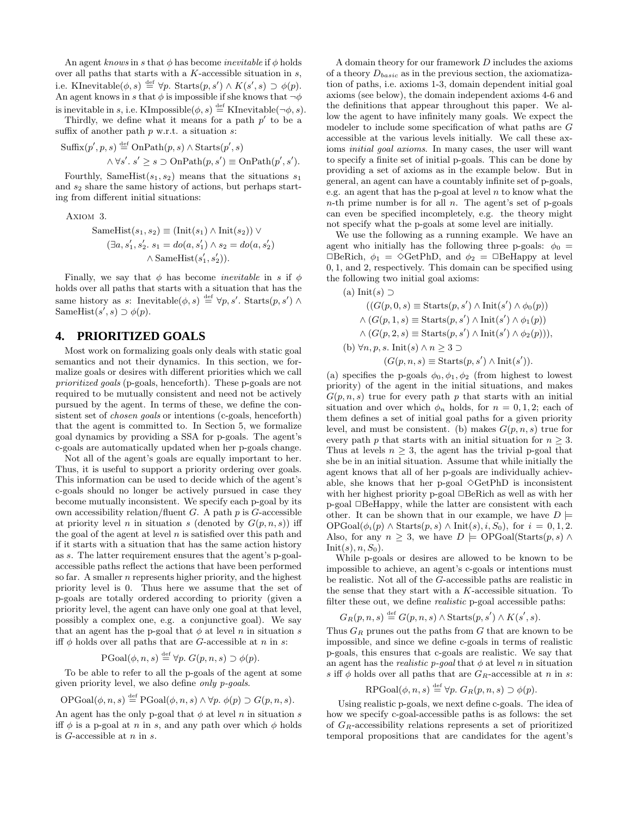An agent knows in s that  $\phi$  has become *inevitable* if  $\phi$  holds over all paths that starts with a  $K$ -accessible situation in  $s$ , i.e. KInevitable $(\phi, s) \stackrel{\text{def}}{=} \forall p$ . Starts $(p, s') \wedge K(s', s) \supset \phi(p)$ . An agent knows in s that  $\phi$  is impossible if she knows that  $\neg \phi$ is inevitable in s, i.e. KImpossible $(\phi, s) \stackrel{\text{def}}{=}$  KInevitable $(\neg \phi, s)$ .

Thirdly, we define what it means for a path  $p'$  to be a suffix of another path  $p$  w.r.t. a situation  $s$ :

$$
Suffix(p', p, s) \stackrel{\text{def}}{=} \text{OnPath}(p, s) \land \text{Starts}(p', s)
$$

$$
\land \forall s'. s' \ge s \supset \text{OnPath}(p, s') \equiv \text{OnPath}(p', s').
$$

Fourthly, SameHist $(s_1, s_2)$  means that the situations  $s_1$ and  $s_2$  share the same history of actions, but perhaps starting from different initial situations:

Axiom 3.

$$
\text{SameHist}(s_1, s_2) \equiv (\text{Init}(s_1) \land \text{Init}(s_2)) \lor (\exists a, s'_1, s'_2. s_1 = do(a, s'_1) \land s_2 = do(a, s'_2) \land \text{SameHist}(s'_1, s'_2)).
$$

Finally, we say that  $\phi$  has become *inevitable* in s if  $\phi$ holds over all paths that starts with a situation that has the same history as s: Inevitable $(\phi, s) \stackrel{\text{def}}{=} \forall p, s'$ . Starts $(p, s') \wedge$ SameHist $(s', s) \supset \phi(p)$ .

## **4. PRIORITIZED GOALS**

Most work on formalizing goals only deals with static goal semantics and not their dynamics. In this section, we formalize goals or desires with different priorities which we call prioritized goals (p-goals, henceforth). These p-goals are not required to be mutually consistent and need not be actively pursued by the agent. In terms of these, we define the consistent set of *chosen goals* or intentions (c-goals, henceforth) that the agent is committed to. In Section 5, we formalize goal dynamics by providing a SSA for p-goals. The agent's c-goals are automatically updated when her p-goals change.

Not all of the agent's goals are equally important to her. Thus, it is useful to support a priority ordering over goals. This information can be used to decide which of the agent's c-goals should no longer be actively pursued in case they become mutually inconsistent. We specify each p-goal by its own accessibility relation/fluent  $G$ . A path  $p$  is  $G$ -accessible at priority level n in situation s (denoted by  $G(p, n, s)$ ) iff the goal of the agent at level  $n$  is satisfied over this path and if it starts with a situation that has the same action history as s. The latter requirement ensures that the agent's p-goalaccessible paths reflect the actions that have been performed so far. A smaller  $n$  represents higher priority, and the highest priority level is 0. Thus here we assume that the set of p-goals are totally ordered according to priority (given a priority level, the agent can have only one goal at that level, possibly a complex one, e.g. a conjunctive goal). We say that an agent has the p-goal that  $\phi$  at level n in situation s iff  $\phi$  holds over all paths that are G-accessible at n in s:

 $PGoal(\phi, n, s) \stackrel{\text{def}}{=} \forall p. G(p, n, s) \supset \phi(p).$ 

To be able to refer to all the p-goals of the agent at some given priority level, we also define only p-goals.

$$
\text{OPGoal}(\phi, n, s) \stackrel{\text{def}}{=} \text{PGoal}(\phi, n, s) \land \forall p. \ \phi(p) \supset G(p, n, s).
$$

An agent has the only p-goal that  $\phi$  at level n in situation s iff  $\phi$  is a p-goal at n in s, and any path over which  $\phi$  holds is  $G$ -accessible at  $n$  in  $s$ .

A domain theory for our framework D includes the axioms of a theory  $D_{basic}$  as in the previous section, the axiomatization of paths, i.e. axioms 1-3, domain dependent initial goal axioms (see below), the domain independent axioms 4-6 and the definitions that appear throughout this paper. We allow the agent to have infinitely many goals. We expect the modeler to include some specification of what paths are G accessible at the various levels initially. We call these axioms initial goal axioms. In many cases, the user will want to specify a finite set of initial p-goals. This can be done by providing a set of axioms as in the example below. But in general, an agent can have a countably infinite set of p-goals, e.g. an agent that has the p-goal at level  $n$  to know what the  $n$ -th prime number is for all  $n$ . The agent's set of p-goals can even be specified incompletely, e.g. the theory might not specify what the p-goals at some level are initially.

We use the following as a running example. We have an agent who initially has the following three p-goals:  $\phi_0$  =  $\Box$ BeRich,  $\phi_1 = \Diamond$ GetPhD, and  $\phi_2 = \Box$ BeHappy at level 0, 1, and 2, respectively. This domain can be specified using the following two initial goal axioms:

(a) 
$$
Init(s) \supset
$$
  
\n
$$
((G(p, 0, s) \equiv Starts(p, s') \land init(s') \land \phi_0(p))
$$
  
\n
$$
\land (G(p, 1, s) \equiv Starts(p, s') \land init(s') \land \phi_1(p))
$$
  
\n
$$
\land (G(p, 2, s) \equiv Starts(p, s') \land init(s') \land \phi_2(p))),
$$
  
\n(b) 
$$
\forall n, p, s.  $Init(s) \land n \geq 3 \supset$   
\n
$$
(G(p, n, s) \equiv Starts(p, s') \land init(s')).
$$
$$

(a) specifies the p-goals  $\phi_0, \phi_1, \phi_2$  (from highest to lowest priority) of the agent in the initial situations, and makes  $G(p, n, s)$  true for every path p that starts with an initial situation and over which  $\phi_n$  holds, for  $n = 0, 1, 2$ ; each of them defines a set of initial goal paths for a given priority level, and must be consistent. (b) makes  $G(p, n, s)$  true for every path p that starts with an initial situation for  $n \geq 3$ . Thus at levels  $n \geq 3$ , the agent has the trivial p-goal that she be in an initial situation. Assume that while initially the agent knows that all of her p-goals are individually achievable, she knows that her p-goal  $\Diamond \text{GetPhD}$  is inconsistent with her highest priority p-goal  $\Box$ BeRich as well as with her p-goal □BeHappy, while the latter are consistent with each other. It can be shown that in our example, we have  $D \models$  $OPGoal(\phi_i(p) \wedge \text{Starts}(p, s) \wedge \text{Init}(s), i, S_0), \text{ for } i = 0, 1, 2.$ Also, for any  $n \geq 3$ , we have  $D \models$  OPGoal(Starts(p, s)  $\wedge$  $Init(s), n, S_0$ .

While p-goals or desires are allowed to be known to be impossible to achieve, an agent's c-goals or intentions must be realistic. Not all of the G-accessible paths are realistic in the sense that they start with a K-accessible situation. To filter these out, we define realistic p-goal accessible paths:

$$
G_R(p,n,s) \stackrel{\text{def}}{=} G(p,n,s) \wedge \text{Starts}(p,s') \wedge K(s',s).
$$

Thus  $G_R$  prunes out the paths from G that are known to be impossible, and since we define c-goals in terms of realistic p-goals, this ensures that c-goals are realistic. We say that an agent has the *realistic* p-goal that  $\phi$  at level n in situation s iff  $\phi$  holds over all paths that are  $G_R$ -accessible at n in s:

$$
RPGoal(\phi, n, s) \stackrel{\text{def}}{=} \forall p. G_R(p, n, s) \supset \phi(p).
$$

Using realistic p-goals, we next define c-goals. The idea of how we specify c-goal-accessible paths is as follows: the set of  $G_R$ -accessibility relations represents a set of prioritized temporal propositions that are candidates for the agent's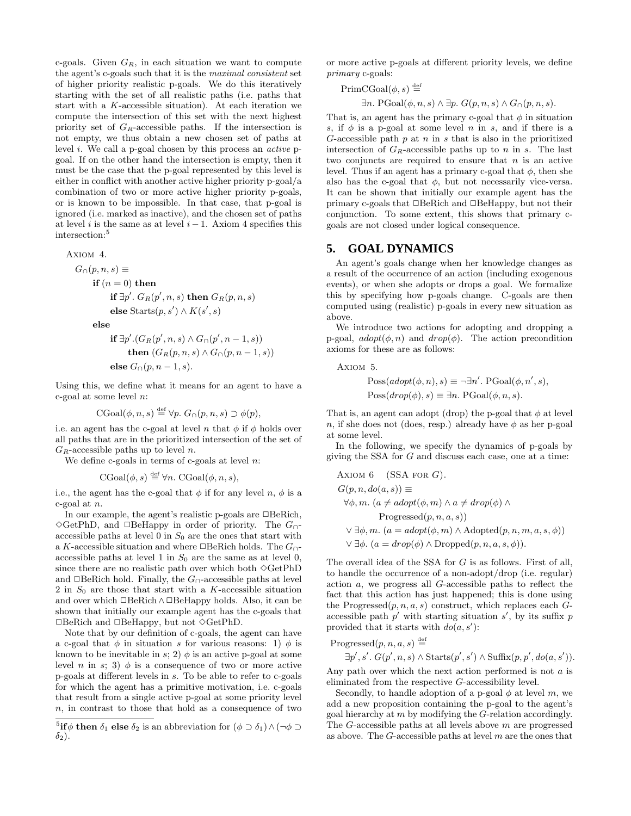c-goals. Given  $G_R$ , in each situation we want to compute the agent's c-goals such that it is the maximal consistent set of higher priority realistic p-goals. We do this iteratively starting with the set of all realistic paths (i.e. paths that start with a K-accessible situation). At each iteration we compute the intersection of this set with the next highest priority set of  $G_R$ -accessible paths. If the intersection is not empty, we thus obtain a new chosen set of paths at level i. We call a p-goal chosen by this process an active pgoal. If on the other hand the intersection is empty, then it must be the case that the p-goal represented by this level is either in conflict with another active higher priority p-goal/a combination of two or more active higher priority p-goals, or is known to be impossible. In that case, that p-goal is ignored (i.e. marked as inactive), and the chosen set of paths at level i is the same as at level  $i - 1$ . Axiom 4 specifies this intersection:<sup>5</sup>

AXIOM 4.  
\n
$$
G_{\cap}(p, n, s) \equiv
$$
  
\n**if**  $(n = 0)$  **then**

$$
\begin{aligned} \textbf{if } \exists p'. \ G_R(p', n, s) \textbf{ then } G_R(p, n, s) \\ \textbf{else } \text{Starts}(p, s') \land K(s', s) \end{aligned}
$$

else

$$
\begin{aligned} \textbf{if } \exists p'.(G_R(p', n, s) \land G_{\cap}(p', n-1, s)) \\ \textbf{then } (G_R(p, n, s) \land G_{\cap}(p, n-1, s)) \\ \textbf{else } G_{\cap}(p, n-1, s). \end{aligned}
$$

Using this, we define what it means for an agent to have a c-goal at some level  $n$ :

$$
CGoal(\phi, n, s) \stackrel{\text{def}}{=} \forall p. \ G_{\cap}(p, n, s) \supset \phi(p),
$$

i.e. an agent has the c-goal at level n that  $\phi$  if  $\phi$  holds over all paths that are in the prioritized intersection of the set of  ${\cal G}_R$  -accessible paths up to level  $n.$ 

We define c-goals in terms of c-goals at level  $n$ :

 $CGoal(\phi, s) \stackrel{\text{def}}{=} \forall n. CGoal(\phi, n, s),$ 

i.e., the agent has the c-goal that  $\phi$  if for any level n,  $\phi$  is a c-goal at  $n$ .

In our example, the agent's realistic p-goals are  $\Box$  BeRich,  $\Diamond$ GetPhD, and □BeHappy in order of priority. The  $G_{\cap}$ accessible paths at level 0 in  $S_0$  are the ones that start with a K-accessible situation and where  $\Box$ BeRich holds. The  $G_0$ accessible paths at level 1 in  $S_0$  are the same as at level 0, since there are no realistic path over which both  $\Diamond \text{GetPhD}$ and  $\Box$ BeRich hold. Finally, the  $G_ \cap$ -accessible paths at level 2 in  $S_0$  are those that start with a K-accessible situation and over which  $\Box$ BeRich∧ $\Box$ BeHappy holds. Also, it can be shown that initially our example agent has the c-goals that  $\Box$ BeRich and  $\Box$ BeHappy, but not  $\Diamond$ GetPhD.

Note that by our definition of c-goals, the agent can have a c-goal that  $\phi$  in situation s for various reasons: 1)  $\phi$  is known to be inevitable in s; 2)  $\phi$  is an active p-goal at some level n in s; 3)  $\phi$  is a consequence of two or more active p-goals at different levels in s. To be able to refer to c-goals for which the agent has a primitive motivation, i.e. c-goals that result from a single active p-goal at some priority level n, in contrast to those that hold as a consequence of two

or more active p-goals at different priority levels, we define primary c-goals:

$$
\begin{aligned} \mathrm{PrimCGoal}(\phi, s) & \stackrel{\text{def}}{=} \\ \exists n. \ \mathrm{PGoal}(\phi, n, s) \land \exists p. \ G(p, n, s) \land G_{\cap}(p, n, s). \end{aligned}
$$

That is, an agent has the primary c-goal that  $\phi$  in situation s, if  $\phi$  is a p-goal at some level n in s, and if there is a G-accessible path  $p$  at  $n$  in  $s$  that is also in the prioritized intersection of  $G_R$ -accessible paths up to n in s. The last two conjuncts are required to ensure that  $n$  is an active level. Thus if an agent has a primary c-goal that  $\phi$ , then she also has the c-goal that  $\phi$ , but not necessarily vice-versa. It can be shown that initially our example agent has the primary c-goals that  $\Box$ BeRich and  $\Box$ BeHappy, but not their conjunction. To some extent, this shows that primary cgoals are not closed under logical consequence.

### **5. GOAL DYNAMICS**

An agent's goals change when her knowledge changes as a result of the occurrence of an action (including exogenous events), or when she adopts or drops a goal. We formalize this by specifying how p-goals change. C-goals are then computed using (realistic) p-goals in every new situation as above.

We introduce two actions for adopting and dropping a p-goal,  $adopt(\phi, n)$  and  $drop(\phi)$ . The action precondition axioms for these are as follows:

Axiom 5.

$$
Poss(adopt(\phi, n), s) \equiv \neg \exists n'. \text{PGoal}(\phi, n', s),
$$
  

$$
Poss(drop(\phi), s) \equiv \exists n. \text{PGoal}(\phi, n, s).
$$

That is, an agent can adopt (drop) the p-goal that  $\phi$  at level n, if she does not (does, resp.) already have  $\phi$  as her p-goal at some level.

In the following, we specify the dynamics of p-goals by giving the SSA for G and discuss each case, one at a time:

AXIOM 6 (SSA FOR G).  
\n
$$
G(p, n, do(a, s)) \equiv
$$
\n
$$
\forall \phi, m. (a \neq adopt(\phi, m) \land a \neq drop(\phi) \land
$$
\n
$$
\text{Progressed}(p, n, a, s))
$$
\n
$$
\lor \exists \phi, m. (a = adopt(\phi, m) \land \text{Adopted}(p, n, m, a, s, \phi))
$$
\n
$$
\lor \exists \phi. (a = drop(\phi) \land \text{Dropped}(p, n, a, s, \phi)).
$$

The overall idea of the SSA for G is as follows. First of all, to handle the occurrence of a non-adopt/drop (i.e. regular) action a, we progress all G-accessible paths to reflect the fact that this action has just happened; this is done using the Progressed $(p, n, a, s)$  construct, which replaces each  $G$ accessible path  $p'$  with starting situation s', by its suffix p provided that it starts with  $do(a, s')$ :

$$
\begin{aligned} \text{Progressed}(p, n, a, s) & \stackrel{\text{def}}{=} \\ \exists p', s'. \ G(p', n, s) \land \text{Starts}(p', s') \land \text{Suffix}(p, p', do(a, s')). \end{aligned}
$$

Any path over which the next action performed is not a is eliminated from the respective G-accessibility level.

Secondly, to handle adoption of a p-goal  $\phi$  at level m, we add a new proposition containing the p-goal to the agent's goal hierarchy at  $m$  by modifying the  $G$ -relation accordingly. The G-accessible paths at all levels above m are progressed as above. The  $G$ -accessible paths at level  $m$  are the ones that

<sup>&</sup>lt;sup>5</sup>if  $\phi$  then  $\delta_1$  else  $\delta_2$  is an abbreviation for  $(\phi \supset \delta_1) \wedge (\neg \phi \supset$  $\delta_2$ ).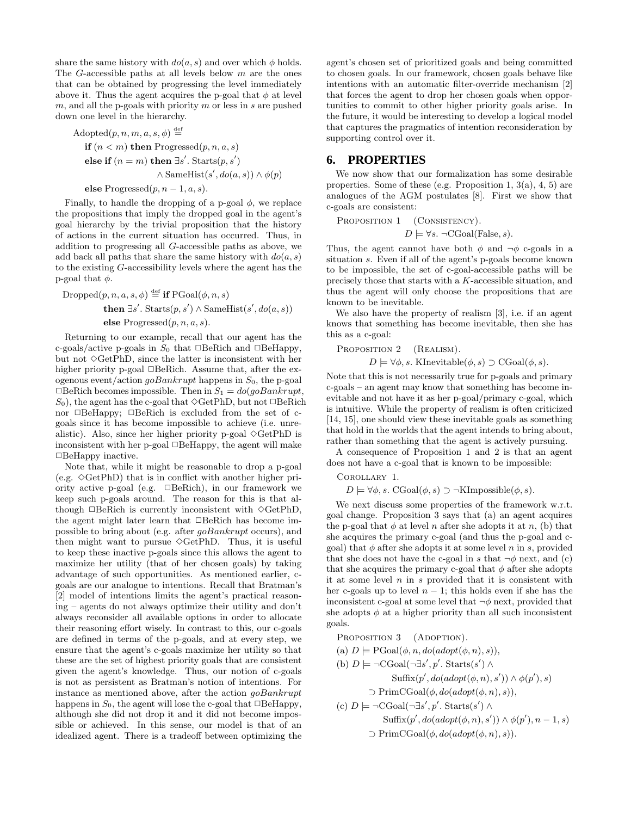share the same history with  $do(a, s)$  and over which  $\phi$  holds. The G-accessible paths at all levels below  $m$  are the ones that can be obtained by progressing the level immediately above it. Thus the agent acquires the p-goal that  $\phi$  at level m, and all the p-goals with priority m or less in  $s$  are pushed down one level in the hierarchy.

Adopted
$$
(p, n, m, a, s, \phi)
$$
  $\stackrel{\text{def}}{=}$   
\n**if**  $(n < m)$  **then** Progressed $(p, n, a, s)$   
\n**else if**  $(n = m)$  **then**  $\exists s'$ .  
\n $\land$  SameHist $(s', do(a, s)) \land \phi(p)$   
\n**else** Progressed $(p, n - 1, a, s)$ .

Finally, to handle the dropping of a p-goal  $\phi$ , we replace the propositions that imply the dropped goal in the agent's goal hierarchy by the trivial proposition that the history of actions in the current situation has occurred. Thus, in addition to progressing all G-accessible paths as above, we add back all paths that share the same history with  $do(a, s)$ to the existing G-accessibility levels where the agent has the p-goal that  $\phi$ .

$$
\begin{aligned} \text{Dropped}(p, n, a, s, φ) \stackrel{\text{def}}{=} & \text{if } \text{PGoal}(φ, n, s) \\ & \text{then } \exists s'. \text{ starts}(p, s') ∧ \text{SameHist}(s', do(a, s)) \\ & \text{else } \text{Progressed}(p, n, a, s). \end{aligned}
$$

Returning to our example, recall that our agent has the c-goals/active p-goals in  $S_0$  that  $\Box$ BeRich and  $\Box$ BeHappy, but not  $\Diamond \text{GetPhD}$ , since the latter is inconsistent with her higher priority p-goal  $\Box$ BeRich. Assume that, after the exogenous event/action  $\alpha Bankrupt$  happens in  $S_0$ , the p-goal  $\Box$ BeRich becomes impossible. Then in  $S_1 = do(goBankrupt,$  $S_0$ , the agent has the c-goal that  $\Diamond \text{GetPhD}$ , but not  $\Box \text{BeRich}$ nor  $\Box$ BeHappy;  $\Box$ BeRich is excluded from the set of cgoals since it has become impossible to achieve (i.e. unrealistic). Also, since her higher priority p-goal  $\Diamond$ GetPhD is inconsistent with her p-goal  $\Box$ BeHappy, the agent will make  $\Box$ BeHappy inactive.

Note that, while it might be reasonable to drop a p-goal (e.g.  $\Diamond$ GetPhD) that is in conflict with another higher priority active p-goal (e.g. ✷BeRich), in our framework we keep such p-goals around. The reason for this is that although  $\Box$ BeRich is currently inconsistent with  $\Diamond$ GetPhD, the agent might later learn that  $\Box$ BeRich has become impossible to bring about (e.g. after goBankrupt occurs), and then might want to pursue  $\Diamond$ GetPhD. Thus, it is useful to keep these inactive p-goals since this allows the agent to maximize her utility (that of her chosen goals) by taking advantage of such opportunities. As mentioned earlier, cgoals are our analogue to intentions. Recall that Bratman's [2] model of intentions limits the agent's practical reasoning – agents do not always optimize their utility and don't always reconsider all available options in order to allocate their reasoning effort wisely. In contrast to this, our c-goals are defined in terms of the p-goals, and at every step, we ensure that the agent's c-goals maximize her utility so that these are the set of highest priority goals that are consistent given the agent's knowledge. Thus, our notion of c-goals is not as persistent as Bratman's notion of intentions. For instance as mentioned above, after the action goBankrupt happens in  $S_0$ , the agent will lose the c-goal that  $\Box$ BeHappy, although she did not drop it and it did not become impossible or achieved. In this sense, our model is that of an idealized agent. There is a tradeoff between optimizing the

agent's chosen set of prioritized goals and being committed to chosen goals. In our framework, chosen goals behave like intentions with an automatic filter-override mechanism [2] that forces the agent to drop her chosen goals when opportunities to commit to other higher priority goals arise. In the future, it would be interesting to develop a logical model that captures the pragmatics of intention reconsideration by supporting control over it.

#### **6. PROPERTIES**

We now show that our formalization has some desirable properties. Some of these (e.g. Proposition 1, 3(a), 4, 5) are analogues of the AGM postulates [8]. First we show that c-goals are consistent:

Proposition 1 (Consistency).

$$
D \models \forall s. \ \neg CGoal(False, s).
$$

Thus, the agent cannot have both  $\phi$  and  $\neg \phi$  c-goals in a situation s. Even if all of the agent's p-goals become known to be impossible, the set of c-goal-accessible paths will be precisely those that starts with a K-accessible situation, and thus the agent will only choose the propositions that are known to be inevitable.

We also have the property of realism [3], i.e. if an agent knows that something has become inevitable, then she has this as a c-goal:

PROPOSITION 2 (REALISM).  
\n
$$
D \models \forall \phi, s
$$
. KInevitable $(\phi, s) \supset CGoal(\phi, s)$ .

Note that this is not necessarily true for p-goals and primary c-goals – an agent may know that something has become inevitable and not have it as her p-goal/primary c-goal, which is intuitive. While the property of realism is often criticized [14, 15], one should view these inevitable goals as something that hold in the worlds that the agent intends to bring about, rather than something that the agent is actively pursuing.

A consequence of Proposition 1 and 2 is that an agent does not have a c-goal that is known to be impossible:

Corollary 1.

 $D \models \forall \phi, s. \text{CGoal}(\phi, s) \supset \neg \text{KImpossible}(\phi, s).$ 

We next discuss some properties of the framework w.r.t. goal change. Proposition 3 says that (a) an agent acquires the p-goal that  $\phi$  at level n after she adopts it at n, (b) that she acquires the primary c-goal (and thus the p-goal and cgoal) that  $\phi$  after she adopts it at some level n in s, provided that she does not have the c-goal in s that  $\neg \phi$  next, and (c) that she acquires the primary c-goal that  $\phi$  after she adopts it at some level  $n$  in  $s$  provided that it is consistent with her c-goals up to level  $n - 1$ ; this holds even if she has the inconsistent c-goal at some level that  $\neg \phi$  next, provided that she adopts  $\phi$  at a higher priority than all such inconsistent goals.

PROPOSITION 3 (ADOPTION). (a)  $D \models \text{PGoal}(\phi, n, do(adopt(\phi, n), s)),$ (b)  $D \models \neg CGoal(\neg \exists s', p'$ . Starts $(s') \land$  $\text{Suffix}(p', do(adopt(\phi, n), s')) \wedge \phi(p'), s)$  $\supset$  PrimCGoal( $\phi$ , do(adopt( $\phi$ , n), s)), (c)  $D \models \neg CGoal(\neg \exists s', p'$ . Starts(s') ∧ Suffix $(p', do(adopt(\phi, n), s')) \wedge \phi(p'), n-1, s)$  $\supset$  PrimCGoal( $\phi$ ,  $do(adopt(\phi, n), s)$ ).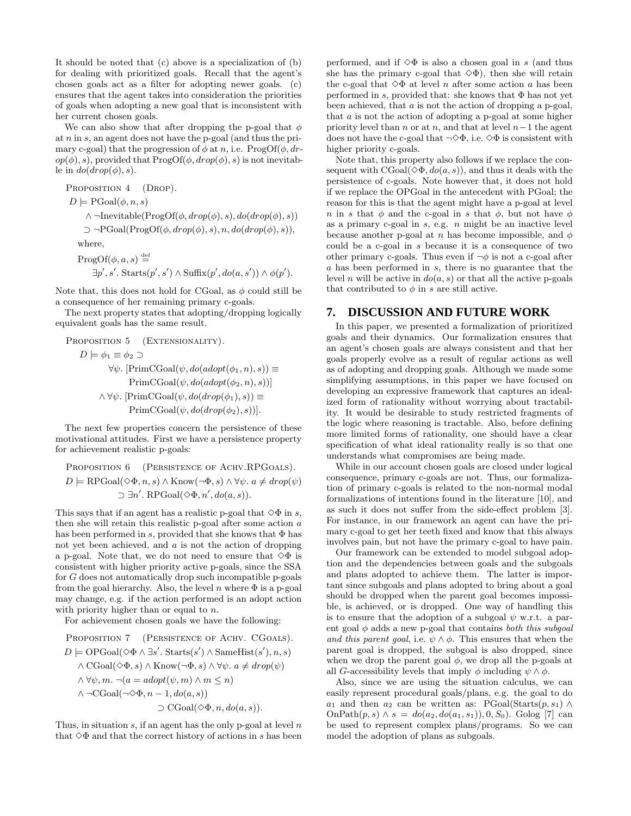It should be noted that (c) above is a specialization of (b) for dealing with prioritized goals. Recall that the agent's chosen goals act as a filter for adopting newer goals. (c) ensures that the agent takes into consideration the priorities of goals when adopting a new goal that is inconsistent with her current chosen goals.

We can also show that after dropping the p-goal that  $\phi$ at  $n$  in  $s$ , an agent does not have the p-goal (and thus the primary c-goal) that the progression of  $\phi$  at n, i.e.  $\text{ProgOf}(\phi, dr)$  $op(\phi), s$ , provided that  $\text{ProgOf}(\phi, drop(\phi), s)$  is not inevitable in  $do(drop(\phi), s)$ .

PROPOSITION 4 (DROP).  $D \models \text{PGoal}(\phi, n, s)$  $\land \neg \text{Inevitable}(\text{ProgOf}(\phi, drop(\phi), s), do(drop(\phi), s))$  $\supset \neg \text{PGoal}(\text{ProgOf}(\phi, drop(\phi), s), n, do(drop(\phi), s)),$ where,  $\overline{d}$ 

$$
\text{ProgOf}(\phi, a, s) \stackrel{\text{def}}{=} \exists p', s'. \text{ starts}(p', s') \land \text{Suffix}(p', do(a, s')) \land \phi(p').
$$

Note that, this does not hold for CGoal, as  $\phi$  could still be a consequence of her remaining primary c-goals.

The next property states that adopting/dropping logically equivalent goals has the same result.

PROPOSITION 5 (EXTENSIONALITY).  $D \models \phi_1 \equiv \phi_2 \supset$  $\forall \psi$ . [PrimCGoal( $\psi$ , do(adopt( $\phi_1$ , n), s))  $\equiv$  $PrimCGoal(\psi, do(adopt(\phi_2, n), s))]$  $\wedge \forall \psi$ . [PrimCGoal( $\psi$ ,  $do(drop(\phi_1), s)$ ]  $\equiv$  $PrimCGoal(\psi, do(drop(\phi_2), s))$ .

The next few properties concern the persistence of these motivational attitudes. First we have a persistence property for achievement realistic p-goals:

PROPOSITION 6 (PERSISTENCE OF ACHV.RPGOALS).  
\n
$$
D \models \text{RPGoal}(\Diamond \Phi, n, s) \land \text{Know}(\neg \Phi, s) \land \forall \psi. a \neq drop(\psi)
$$
  
\n $\supset \exists n'. \text{RPGoal}(\Diamond \Phi, n', do(a, s)).$ 

This says that if an agent has a realistic p-goal that  $\diamond \Phi$  in s, then she will retain this realistic p-goal after some action a has been performed in s, provided that she knows that  $\Phi$  has not yet been achieved, and  $a$  is not the action of dropping a p-goal. Note that, we do not need to ensure that  $\diamond \Phi$  is consistent with higher priority active p-goals, since the SSA for G does not automatically drop such incompatible p-goals from the goal hierarchy. Also, the level n where  $\Phi$  is a p-goal may change, e.g. if the action performed is an adopt action with priority higher than or equal to n.

For achievement chosen goals we have the following:

PROPOSITION 7 (PERSISTENCE OF ACHV. CGOALS).  
\n
$$
D \models \text{OPGoal}(\Diamond \Phi \land \exists s'. \text{Starts}(s') \land \text{SameHist}(s'), n, s)
$$
  
\n $\land \text{CGoal}(\Diamond \Phi, s) \land \text{Know}(\neg \Phi, s) \land \forall \psi. a \neq drop(\psi)$   
\n $\land \forall \psi, m. \neg (a = adopt(\psi, m) \land m \leq n)$   
\n $\land \neg \text{CGoal}(\neg \Diamond \Phi, n - 1, do(a, s))$   
\n $\supset \text{CGoal}(\Diamond \Phi, n, do(a, s)).$ 

Thus, in situation  $s$ , if an agent has the only p-goal at level  $n$ that  $\Diamond \Phi$  and that the correct history of actions in s has been performed, and if  $\Diamond \Phi$  is also a chosen goal in s (and thus she has the primary c-goal that  $\Diamond \Phi$ ), then she will retain the c-goal that  $\Diamond \Phi$  at level *n* after some action *a* has been performed in s, provided that: she knows that  $\Phi$  has not yet been achieved, that a is not the action of dropping a p-goal, that a is not the action of adopting a p-goal at some higher priority level than n or at n, and that at level  $n-1$  the agent does not have the c-goal that  $\neg \Diamond \Phi$ , i.e.  $\Diamond \Phi$  is consistent with higher priority c-goals.

Note that, this property also follows if we replace the consequent with  $CGoal(\Diamond \Phi, do(a, s))$ , and thus it deals with the persistence of c-goals. Note however that, it does not hold if we replace the OPGoal in the antecedent with PGoal; the reason for this is that the agent might have a p-goal at level n in s that  $\phi$  and the c-goal in s that  $\phi$ , but not have  $\phi$ as a primary c-goal in  $s$ , e.g.  $n$  might be an inactive level because another p-goal at n has become impossible, and  $\phi$ could be a c-goal in s because it is a consequence of two other primary c-goals. Thus even if  $\neg \phi$  is not a c-goal after a has been performed in s, there is no guarantee that the level n will be active in  $do(a, s)$  or that all the active p-goals that contributed to  $\phi$  in s are still active.

#### **7. DISCUSSION AND FUTURE WORK**

In this paper, we presented a formalization of prioritized goals and their dynamics. Our formalization ensures that an agent's chosen goals are always consistent and that her goals properly evolve as a result of regular actions as well as of adopting and dropping goals. Although we made some simplifying assumptions, in this paper we have focused on developing an expressive framework that captures an idealized form of rationality without worrying about tractability. It would be desirable to study restricted fragments of the logic where reasoning is tractable. Also, before defining more limited forms of rationality, one should have a clear specification of what ideal rationality really is so that one understands what compromises are being made.

While in our account chosen goals are closed under logical consequence, primary c-goals are not. Thus, our formalization of primary c-goals is related to the non-normal modal formalizations of intentions found in the literature [10], and as such it does not suffer from the side-effect problem [3]. For instance, in our framework an agent can have the primary c-goal to get her teeth fixed and know that this always involves pain, but not have the primary c-goal to have pain.

Our framework can be extended to model subgoal adoption and the dependencies between goals and the subgoals and plans adopted to achieve them. The latter is important since subgoals and plans adopted to bring about a goal should be dropped when the parent goal becomes impossible, is achieved, or is dropped. One way of handling this is to ensure that the adoption of a subgoal  $\psi$  w.r.t. a parent goal  $\phi$  adds a new p-goal that contains both this subgoal and this parent goal, i.e.  $\psi \wedge \phi$ . This ensures that when the parent goal is dropped, the subgoal is also dropped, since when we drop the parent goal  $\phi$ , we drop all the p-goals at all G-accessibility levels that imply  $\phi$  including  $\psi \wedge \phi$ .

Also, since we are using the situation calculus, we can easily represent procedural goals/plans, e.g. the goal to do  $a_1$  and then  $a_2$  can be written as: PGoal(Starts(p, s<sub>1</sub>) ∧  $OnPath(p, s) \wedge s = do(a_2, do(a_1, s_1)), 0, S_0$ . Golog [7] can be used to represent complex plans/programs. So we can model the adoption of plans as subgoals.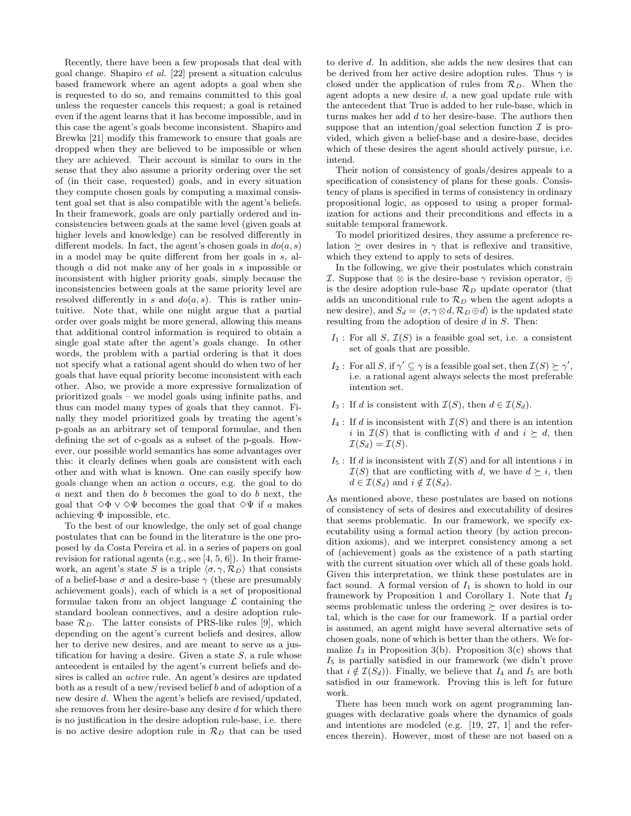Recently, there have been a few proposals that deal with goal change. Shapiro et al. [22] present a situation calculus based framework where an agent adopts a goal when she is requested to do so, and remains committed to this goal unless the requester cancels this request; a goal is retained even if the agent learns that it has become impossible, and in this case the agent's goals become inconsistent. Shapiro and Brewka [21] modify this framework to ensure that goals are dropped when they are believed to be impossible or when they are achieved. Their account is similar to ours in the sense that they also assume a priority ordering over the set of (in their case, requested) goals, and in every situation they compute chosen goals by computing a maximal consistent goal set that is also compatible with the agent's beliefs. In their framework, goals are only partially ordered and inconsistencies between goals at the same level (given goals at higher levels and knowledge) can be resolved differently in different models. In fact, the agent's chosen goals in  $do(a, s)$ in a model may be quite different from her goals in s, although a did not make any of her goals in s impossible or inconsistent with higher priority goals, simply because the inconsistencies between goals at the same priority level are resolved differently in s and  $do(a, s)$ . This is rather unintuitive. Note that, while one might argue that a partial order over goals might be more general, allowing this means that additional control information is required to obtain a single goal state after the agent's goals change. In other words, the problem with a partial ordering is that it does not specify what a rational agent should do when two of her goals that have equal priority become inconsistent with each other. Also, we provide a more expressive formalization of prioritized goals – we model goals using infinite paths, and thus can model many types of goals that they cannot. Finally they model prioritized goals by treating the agent's p-goals as an arbitrary set of temporal formulae, and then defining the set of c-goals as a subset of the p-goals. However, our possible world semantics has some advantages over this: it clearly defines when goals are consistent with each other and with what is known. One can easily specify how goals change when an action a occurs, e.g. the goal to do a next and then do b becomes the goal to do b next, the goal that  $\diamond \Phi \vee \diamond \Psi$  becomes the goal that  $\diamond \Psi$  if a makes achieving  $\Phi$  impossible, etc.

To the best of our knowledge, the only set of goal change postulates that can be found in the literature is the one proposed by da Costa Pereira et al. in a series of papers on goal revision for rational agents (e.g., see [4, 5, 6]). In their framework, an agent's state S is a triple  $\langle \sigma, \gamma, \mathcal{R}_D \rangle$  that consists of a belief-base  $\sigma$  and a desire-base  $\gamma$  (these are presumably achievement goals), each of which is a set of propositional formulae taken from an object language  $\mathcal L$  containing the standard boolean connectives, and a desire adoption rulebase  $\mathcal{R}_D$ . The latter consists of PRS-like rules [9], which depending on the agent's current beliefs and desires, allow her to derive new desires, and are meant to serve as a justification for having a desire. Given a state  $S$ , a rule whose antecedent is entailed by the agent's current beliefs and desires is called an active rule. An agent's desires are updated both as a result of a new/revised belief b and of adoption of a new desire d. When the agent's beliefs are revised/updated, she removes from her desire-base any desire  $d$  for which there is no justification in the desire adoption rule-base, i.e. there is no active desire adoption rule in  $\mathcal{R}_D$  that can be used

to derive d. In addition, she adds the new desires that can be derived from her active desire adoption rules. Thus  $\gamma$  is closed under the application of rules from  $\mathcal{R}_D$ . When the agent adopts a new desire d, a new goal update rule with the antecedent that True is added to her rule-base, which in turns makes her add d to her desire-base. The authors then suppose that an intention/goal selection function  $\mathcal I$  is provided, which given a belief-base and a desire-base, decides which of these desires the agent should actively pursue, i.e. intend.

Their notion of consistency of goals/desires appeals to a specification of consistency of plans for these goals. Consistency of plans is specified in terms of consistency in ordinary propositional logic, as opposed to using a proper formalization for actions and their preconditions and effects in a suitable temporal framework.

To model prioritized desires, they assume a preference relation  $\succeq$  over desires in  $\gamma$  that is reflexive and transitive, which they extend to apply to sets of desires.

In the following, we give their postulates which constrain *I*. Suppose that  $\otimes$  is the desire-base  $\gamma$  revision operator,  $\oplus$ is the desire adoption rule-base  $\mathcal{R}_D$  update operator (that adds an unconditional rule to  $\mathcal{R}_D$  when the agent adopts a new desire), and  $S_d = \langle \sigma, \gamma \otimes d, \mathcal{R}_D \oplus d \rangle$  is the updated state resulting from the adoption of desire d in S. Then:

- $I_1$ : For all S,  $\mathcal{I}(S)$  is a feasible goal set, i.e. a consistent set of goals that are possible.
- I<sub>2</sub>: For all S, if  $\gamma' \subseteq \gamma$  is a feasible goal set, then  $\mathcal{I}(S) \succeq \gamma'$ , i.e. a rational agent always selects the most preferable intention set.
- $I_3$ : If d is consistent with  $\mathcal{I}(S)$ , then  $d \in \mathcal{I}(S_d)$ .
- $I_4$ : If d is inconsistent with  $\mathcal{I}(S)$  and there is an intention i in  $\mathcal{I}(S)$  that is conflicting with d and  $i \succeq d$ , then  $\mathcal{I}(S_d) = \mathcal{I}(S)$ .
- $I_5$ : If d is inconsistent with  $\mathcal{I}(S)$  and for all intentions i in  $\mathcal{I}(S)$  that are conflicting with d, we have  $d \succeq i$ , then  $d \in \mathcal{I}(S_d)$  and  $i \notin \mathcal{I}(S_d)$ .

As mentioned above, these postulates are based on notions of consistency of sets of desires and executability of desires that seems problematic. In our framework, we specify executability using a formal action theory (by action precondition axioms), and we interpret consistency among a set of (achievement) goals as the existence of a path starting with the current situation over which all of these goals hold. Given this interpretation, we think these postulates are in fact sound. A formal version of  $I_1$  is shown to hold in our framework by Proposition 1 and Corollary 1. Note that  $I_2$ seems problematic unless the ordering  $\succeq$  over desires is total, which is the case for our framework. If a partial order is assumed, an agent might have several alternative sets of chosen goals, none of which is better than the others. We formalize  $I_3$  in Proposition 3(b). Proposition 3(c) shows that  $I_5$  is partially satisfied in our framework (we didn't prove that  $i \notin \mathcal{I}(S_d)$ . Finally, we believe that  $I_4$  and  $I_5$  are both satisfied in our framework. Proving this is left for future work.

There has been much work on agent programming languages with declarative goals where the dynamics of goals and intentions are modeled (e.g. [19, 27, 1] and the references therein). However, most of these are not based on a